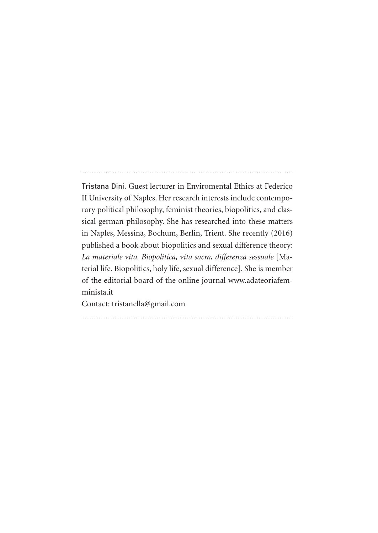Tristana Dini. Guest lecturer in Enviromental Ethics at Federico II University of Naples. Her research interests include contemporary political philosophy, feminist theories, biopolitics, and classical german philosophy. She has researched into these matters in Naples, Messina, Bochum, Berlin, Trient. She recently (2016) published a book about biopolitics and sexual difference theory: *La materiale vita. Biopolitica, vita sacra, differenza sessuale* [Material life. Biopolitics, holy life, sexual difference]. She is member of the editorial board of the online journal www.adateoriafemminista.it

Contact: tristanella@gmail.com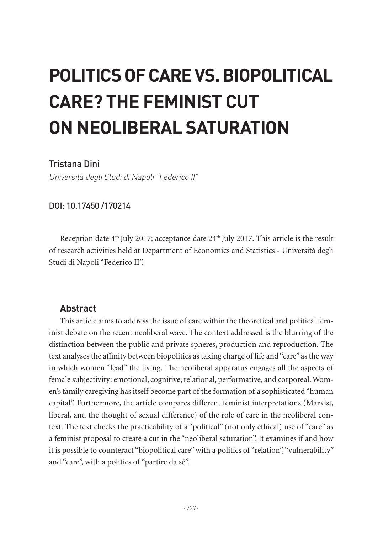# **POLITICS OF CARE VS. BIOPOLITICAL CARE? THE FEMINIST CUT ON NEOLIBERAL SATURATION**

## Tristana Dini

Università degli Studi di Napoli "Federico II"

#### DOI: 10.17450 /170214

Reception date 4<sup>th</sup> July 2017; acceptance date 24<sup>th</sup> July 2017. This article is the result of research activities held at Department of Economics and Statistics - Università degli Studi di Napoli "Federico II".

#### **Abstract**

This article aims to address the issue of care within the theoretical and political feminist debate on the recent neoliberal wave. The context addressed is the blurring of the distinction between the public and private spheres, production and reproduction. The text analyses the affinity between biopolitics as taking charge of life and "care" as the way in which women "lead" the living. The neoliberal apparatus engages all the aspects of female subjectivity: emotional, cognitive, relational, performative, and corporeal. Women's family caregiving has itself become part of the formation of a sophisticated "human capital". Furthermore, the article compares different feminist interpretations (Marxist, liberal, and the thought of sexual difference) of the role of care in the neoliberal context. The text checks the practicability of a "political" (not only ethical) use of "care" as a feminist proposal to create a cut in the "neoliberal saturation". It examines if and how it is possible to counteract "biopolitical care" with a politics of "relation", "vulnerability" and "care", with a politics of "partire da sé".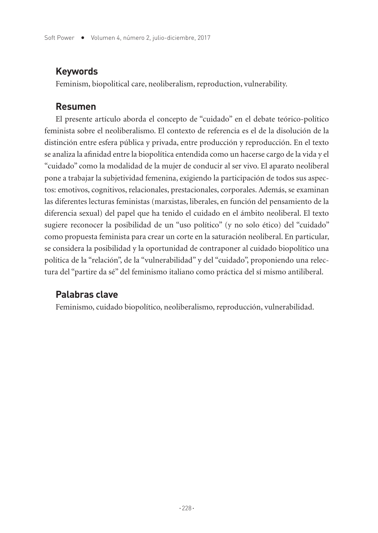## **Keywords**

Feminism, biopolitical care, neoliberalism, reproduction, vulnerability.

#### **Resumen**

El presente artículo aborda el concepto de "cuidado" en el debate teórico-político feminista sobre el neoliberalismo. El contexto de referencia es el de la disolución de la distinción entre esfera pública y privada, entre producción y reproducción. En el texto se analiza la afinidad entre la biopolítica entendida como un hacerse cargo de la vida y el "cuidado" como la modalidad de la mujer de conducir al ser vivo. El aparato neoliberal pone a trabajar la subjetividad femenina, exigiendo la participación de todos sus aspectos: emotivos, cognitivos, relacionales, prestacionales, corporales. Además, se examinan las diferentes lecturas feministas (marxistas, liberales, en función del pensamiento de la diferencia sexual) del papel que ha tenido el cuidado en el ámbito neoliberal. El texto sugiere reconocer la posibilidad de un "uso político" (y no solo ético) del "cuidado" como propuesta feminista para crear un corte en la saturación neoliberal. En particular, se considera la posibilidad y la oportunidad de contraponer al cuidado biopolítico una política de la "relación", de la "vulnerabilidad" y del "cuidado", proponiendo una relectura del "partire da sé" del feminismo italiano como práctica del sí mismo antiliberal.

# **Palabras clave**

Feminismo, cuidado biopolítico, neoliberalismo, reproducción, vulnerabilidad.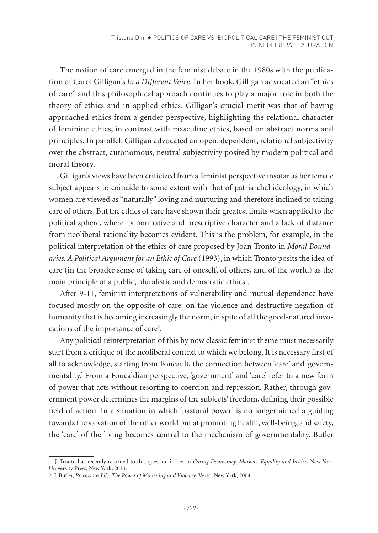The notion of care emerged in the feminist debate in the 1980s with the publication of Carol Gilligan's *In a Different Voice.* In her book, Gilligan advocated an "ethics of care" and this philosophical approach continues to play a major role in both the theory of ethics and in applied ethics. Gilligan's crucial merit was that of having approached ethics from a gender perspective, highlighting the relational character of feminine ethics, in contrast with masculine ethics, based on abstract norms and principles. In parallel, Gilligan advocated an open, dependent, relational subjectivity over the abstract, autonomous, neutral subjectivity posited by modern political and moral theory.

Gilligan's views have been criticized from a feminist perspective insofar as her female subject appears to coincide to some extent with that of patriarchal ideology, in which women are viewed as "naturally" loving and nurturing and therefore inclined to taking care of others. But the ethics of care have shown their greatest limits when applied to the political sphere, where its normative and prescriptive character and a lack of distance from neoliberal rationality becomes evident. This is the problem, for example, in the political interpretation of the ethics of care proposed by Joan Tronto in *Moral Boundaries. A Political Argument for an Ethic of Care* (1993), in which Tronto posits the idea of care (in the broader sense of taking care of oneself, of others, and of the world) as the main principle of a public, pluralistic and democratic ethics<sup>1</sup>.

After 9-11, feminist interpretations of vulnerability and mutual dependence have focused mostly on the opposite of care: on the violence and destructive negation of humanity that is becoming increasingly the norm, in spite of all the good-natured invocations of the importance of care<sup>2</sup>.

Any political reinterpretation of this by now classic feminist theme must necessarily start from a critique of the neoliberal context to which we belong. It is necessary first of all to acknowledge, starting from Foucault, the connection between 'care' and 'governmentality.' From a Foucaldian perspective, 'government' and 'care' refer to a new form of power that acts without resorting to coercion and repression. Rather, through government power determines the margins of the subjects' freedom, defining their possible field of action. In a situation in which 'pastoral power' is no longer aimed a guiding towards the salvation of the other world but at promoting health, well-being, and safety, the 'care' of the living becomes central to the mechanism of governmentality. Butler

<sup>1.</sup> J. Tronto has recently returned to this question in her in *Caring Democracy. Markets, Equality and Justice*, New York University Press, New York, 2013.

<sup>2.</sup> J. Butler, *Precarious Life. The Power of Mourning and Violence*, Verso, New York, 2004.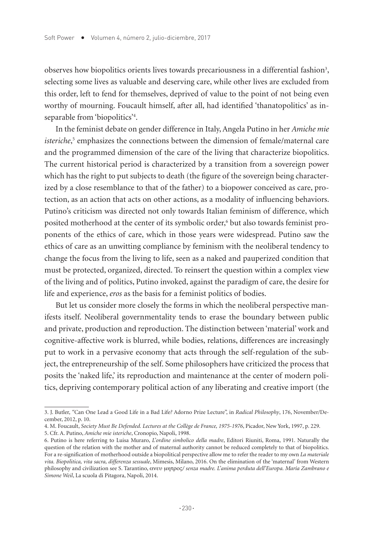observes how biopolitics orients lives towards precariousness in a differential fashion<sup>3</sup>, selecting some lives as valuable and deserving care, while other lives are excluded from this order, left to fend for themselves, deprived of value to the point of not being even worthy of mourning. Foucault himself, after all, had identified 'thanatopolitics' as inseparable from 'biopolitics'4 .

In the feminist debate on gender difference in Italy, Angela Putino in her *Amiche mie isteriche*, 5 emphasizes the connections between the dimension of female/maternal care and the programmed dimension of the care of the living that characterize biopolitics. The current historical period is characterized by a transition from a sovereign power which has the right to put subjects to death (the figure of the sovereign being characterized by a close resemblance to that of the father) to a biopower conceived as care, protection, as an action that acts on other actions, as a modality of influencing behaviors. Putino's criticism was directed not only towards Italian feminism of difference, which posited motherhood at the center of its symbolic order,<sup>6</sup> but also towards feminist proponents of the ethics of care, which in those years were widespread. Putino saw the ethics of care as an unwitting compliance by feminism with the neoliberal tendency to change the focus from the living to life, seen as a naked and pauperized condition that must be protected, organized, directed. To reinsert the question within a complex view of the living and of politics, Putino invoked, against the paradigm of care, the desire for life and experience, *eros* as the basis for a feminist politics of bodies.

But let us consider more closely the forms in which the neoliberal perspective manifests itself. Neoliberal governmentality tends to erase the boundary between public and private, production and reproduction. The distinction between 'material' work and cognitive-affective work is blurred, while bodies, relations, differences are increasingly put to work in a pervasive economy that acts through the self-regulation of the subject, the entrepreneurship of the self. Some philosophers have criticized the process that posits the 'naked life,' its reproduction and maintenance at the center of modern politics, depriving contemporary political action of any liberating and creative import (the

<sup>3.</sup> J. Butler, *"*Can One Lead a Good Life in a Bad Life*?* Adorno Prize Lecture", in *Radical Philosophy*, 176, November/December, 2012, p. 10.

<sup>4.</sup> M. Foucault, *Society Must Be Defended. Lectures at the Collège de France, 1975-1976*, Picador, New York, 1997, p. 229. 5. Cfr. A. Putino, *Amiche mie isteriche*, Cronopio, Napoli, 1998.

<sup>6.</sup> Putino is here referring to Luisa Muraro, *L'ordine simbolico della madre*, Editori Riuniti, Roma, 1991. Naturally the question of the relation with the mother and of maternal authority cannot be reduced completely to that of biopolitics. For a re-signification of motherhood outside a biopolitical perspective allow me to refer the reader to my own *La materiale vita. Biopolitica, vita sacra, differenza sessuale*, Mimesis, Milano, 2016. On the elimination of the 'maternal' from Western philosophy and civilization see S. Tarantino, ανευ µητρος*/ senza madre. L'anima perduta dell'Europa. María Zambrano e Simone Weil*, La scuola di Pitagora, Napoli, 2014.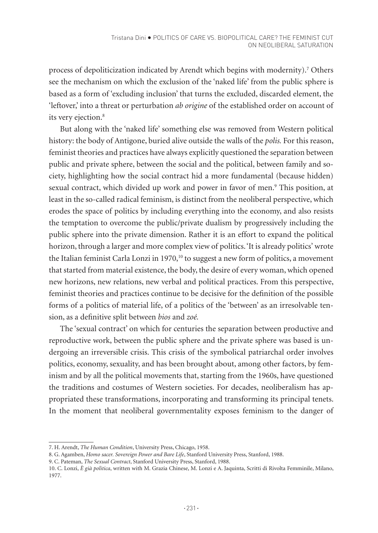process of depoliticization indicated by Arendt which begins with modernity).7 Others see the mechanism on which the exclusion of the 'naked life' from the public sphere is based as a form of 'excluding inclusion' that turns the excluded, discarded element, the 'leftover,' into a threat or perturbation *ab origine* of the established order on account of its very ejection.<sup>8</sup>

But along with the 'naked life' something else was removed from Western political history: the body of Antigone, buried alive outside the walls of the *polis.* For this reason, feminist theories and practices have always explicitly questioned the separation between public and private sphere, between the social and the political, between family and society, highlighting how the social contract hid a more fundamental (because hidden) sexual contract, which divided up work and power in favor of men.<sup>9</sup> This position, at least in the so-called radical feminism, is distinct from the neoliberal perspective, which erodes the space of politics by including everything into the economy, and also resists the temptation to overcome the public/private dualism by progressively including the public sphere into the private dimension. Rather it is an effort to expand the political horizon, through a larger and more complex view of politics. 'It is already politics' wrote the Italian feminist Carla Lonzi in 1970,<sup>10</sup> to suggest a new form of politics, a movement that started from material existence, the body, the desire of every woman, which opened new horizons, new relations, new verbal and political practices. From this perspective, feminist theories and practices continue to be decisive for the definition of the possible forms of a politics of material life, of a politics of the 'between' as an irresolvable tension, as a definitive split between *bios* and *zoé.* 

The 'sexual contract' on which for centuries the separation between productive and reproductive work, between the public sphere and the private sphere was based is undergoing an irreversible crisis. This crisis of the symbolical patriarchal order involves politics, economy, sexuality, and has been brought about, among other factors, by feminism and by all the political movements that, starting from the 1960s, have questioned the traditions and costumes of Western societies. For decades, neoliberalism has appropriated these transformations, incorporating and transforming its principal tenets. In the moment that neoliberal governmentality exposes feminism to the danger of

<sup>7.</sup> H. Arendt, *The Human Condition*, University Press, Chicago, 1958.

<sup>8.</sup> G. Agamben, *Homo sacer. Sovereign Power and Bare Life*, Stanford University Press, Stanford, 1988.

<sup>9.</sup> C. Pateman, *The Sexual Contract*, Stanford University Press, Stanford, 1988.

<sup>10.</sup> C. Lonzi, *È già politica*, written with M. Grazia Chinese, M. Lonzi e A. Jaquinta, Scritti di Rivolta Femminile, Milano, 1977.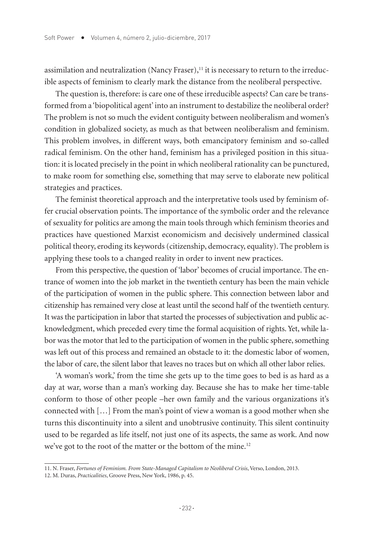assimilation and neutralization (Nancy Fraser), $<sup>11</sup>$  it is necessary to return to the irreduc-</sup> ible aspects of feminism to clearly mark the distance from the neoliberal perspective.

The question is, therefore: is care one of these irreducible aspects? Can care be transformed from a 'biopolitical agent' into an instrument to destabilize the neoliberal order? The problem is not so much the evident contiguity between neoliberalism and women's condition in globalized society, as much as that between neoliberalism and feminism. This problem involves, in different ways, both emancipatory feminism and so-called radical feminism. On the other hand, feminism has a privileged position in this situation: it is located precisely in the point in which neoliberal rationality can be punctured, to make room for something else, something that may serve to elaborate new political strategies and practices.

The feminist theoretical approach and the interpretative tools used by feminism offer crucial observation points. The importance of the symbolic order and the relevance of sexuality for politics are among the main tools through which feminism theories and practices have questioned Marxist economicism and decisively undermined classical political theory, eroding its keywords (citizenship, democracy, equality). The problem is applying these tools to a changed reality in order to invent new practices.

From this perspective, the question of 'labor' becomes of crucial importance. The entrance of women into the job market in the twentieth century has been the main vehicle of the participation of women in the public sphere. This connection between labor and citizenship has remained very close at least until the second half of the twentieth century. It was the participation in labor that started the processes of subjectivation and public acknowledgment, which preceded every time the formal acquisition of rights. Yet, while labor was the motor that led to the participation of women in the public sphere, something was left out of this process and remained an obstacle to it: the domestic labor of women, the labor of care, the silent labor that leaves no traces but on which all other labor relies.

'A woman's work,' from the time she gets up to the time goes to bed is as hard as a day at war, worse than a man's working day. Because she has to make her time-table conform to those of other people –her own family and the various organizations it's connected with […] From the man's point of view a woman is a good mother when she turns this discontinuity into a silent and unobtrusive continuity. This silent continuity used to be regarded as life itself, not just one of its aspects, the same as work. And now we've got to the root of the matter or the bottom of the mine.<sup>12</sup>

<sup>11.</sup> N. Fraser, *Fortunes of Feminism. From State-Managed Capitalism to Neoliberal Crisis*, Verso, London, 2013.

<sup>12.</sup> M. Duras, *Practicalities*, Groove Press, New York, 1986, p. 45.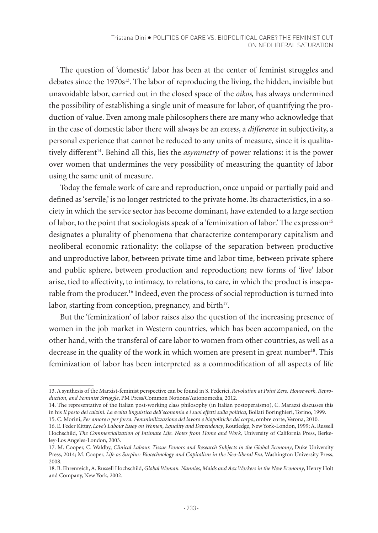The question of 'domestic' labor has been at the center of feminist struggles and debates since the 1970s<sup>13</sup>. The labor of reproducing the living, the hidden, invisible but unavoidable labor, carried out in the closed space of the *oikos,* has always undermined the possibility of establishing a single unit of measure for labor, of quantifying the production of value. Even among male philosophers there are many who acknowledge that in the case of domestic labor there will always be an *excess*, a *difference* in subjectivity, a personal experience that cannot be reduced to any units of measure, since it is qualitatively different14. Behind all this, lies the *asymmetry* of power relations: it is the power over women that undermines the very possibility of measuring the quantity of labor using the same unit of measure.

Today the female work of care and reproduction, once unpaid or partially paid and defined as 'servile,' is no longer restricted to the private home. Its characteristics, in a society in which the service sector has become dominant, have extended to a large section of labor, to the point that sociologists speak of a 'feminization of labor.' The expression<sup>15</sup> designates a plurality of phenomena that characterize contemporary capitalism and neoliberal economic rationality: the collapse of the separation between productive and unproductive labor, between private time and labor time, between private sphere and public sphere, between production and reproduction; new forms of 'live' labor arise, tied to affectivity, to intimacy, to relations, to care, in which the product is inseparable from the producer.16 Indeed, even the process of social reproduction is turned into labor, starting from conception, pregnancy, and birth<sup>17</sup>.

But the 'feminization' of labor raises also the question of the increasing presence of women in the job market in Western countries, which has been accompanied, on the other hand, with the transferal of care labor to women from other countries, as well as a decrease in the quality of the work in which women are present in great number<sup>18</sup>. This feminization of labor has been interpreted as a commodification of all aspects of life

<sup>13.</sup> A synthesis of the Marxist-feminist perspective can be found in S. Federici, *Revolution at Point Zero. Housework, Reproduction, and Feminist Struggle*, PM Press/Common Notions/Autonomedia, 2012.

<sup>14.</sup> The representative of the Italian post-working class philosophy (in Italian postoperaismo), C. Marazzi discusses this in his *Il posto dei calzini. La svolta linguistica dell'economia e i suoi effetti sulla politica*, Bollati Boringhieri, Torino, 1999. 15. C. Morini, *Per amore o per forza. Femminilizzazione del lavoro e biopolitiche del corpo*, ombre corte, Verona, 2010.

<sup>16.</sup> E. Feder Kittay, *Love's Labour Essay on Women, Equality and Dependency*, Routledge, New York-London, 1999; A. Russell Hochschild, *The Commercialization of Intimate Life. Notes from Home and Work,* University of California Press, Berkeley-Los Angeles-London, 2003.

<sup>17.</sup> M. Cooper, C. Waldby, *Clinical Labour. Tissue Donors and Research Subjects in the Global Economy*, Duke University Press, 2014; M. Cooper, *Life as Surplus: Biotechnology and Capitalism in the Neo-liberal Era*, Washington University Press, 2008.

<sup>18.</sup> B. Ehrenreich, A. Russell Hochschild, *Global Woman. Nannies, Maids and Aex Workers in the New Economy*, Henry Holt and Company, New York, 2002.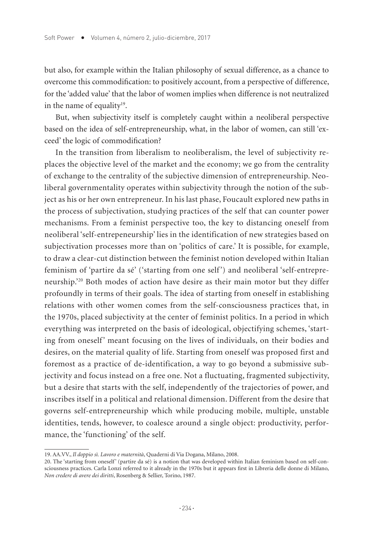but also, for example within the Italian philosophy of sexual difference, as a chance to overcome this commodification: to positively account, from a perspective of difference, for the 'added value' that the labor of women implies when difference is not neutralized in the name of equality $19$ .

But, when subjectivity itself is completely caught within a neoliberal perspective based on the idea of self-entrepreneurship, what, in the labor of women, can still 'exceed' the logic of commodification?

In the transition from liberalism to neoliberalism, the level of subjectivity replaces the objective level of the market and the economy; we go from the centrality of exchange to the centrality of the subjective dimension of entrepreneurship. Neoliberal governmentality operates within subjectivity through the notion of the subject as his or her own entrepreneur. In his last phase, Foucault explored new paths in the process of subjectivation, studying practices of the self that can counter power mechanisms. From a feminist perspective too, the key to distancing oneself from neoliberal 'self-entrepeneurship' lies in the identification of new strategies based on subjectivation processes more than on 'politics of care.' It is possible, for example, to draw a clear-cut distinction between the feminist notion developed within Italian feminism of 'partire da sé' ('starting from one self') and neoliberal 'self-entrepreneurship.'20 Both modes of action have desire as their main motor but they differ profoundly in terms of their goals. The idea of starting from oneself in establishing relations with other women comes from the self-consciousness practices that, in the 1970s, placed subjectivity at the center of feminist politics. In a period in which everything was interpreted on the basis of ideological, objectifying schemes, 'starting from oneself' meant focusing on the lives of individuals, on their bodies and desires, on the material quality of life. Starting from oneself was proposed first and foremost as a practice of de-identification, a way to go beyond a submissive subjectivity and focus instead on a free one. Not a fluctuating, fragmented subjectivity, but a desire that starts with the self, independently of the trajectories of power, and inscribes itself in a political and relational dimension. Different from the desire that governs self-entrepreneurship which while producing mobile, multiple, unstable identities, tends, however, to coalesce around a single object: productivity, performance, the 'functioning' of the self.

<sup>19.</sup> AA.VV., *Il doppio sì. Lavoro e maternità*, Quaderni di Via Dogana, Milano, 2008.

<sup>20.</sup> The 'starting from oneself' (partire da sé) is a notion that was developed within Italian feminism based on self-consciousness practices. Carla Lonzi referred to it already in the 1970s but it appears first in Libreria delle donne di Milano, *Non credere di avere dei diritti*, Rosenberg & Sellier, Torino, 1987.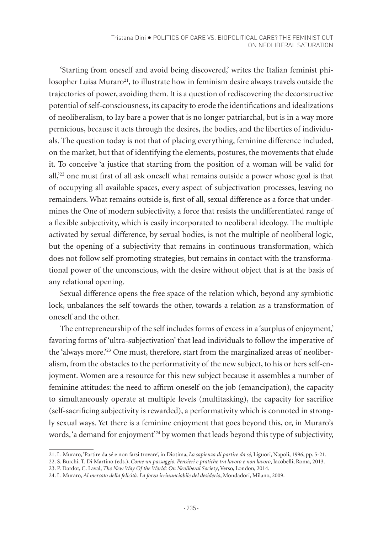'Starting from oneself and avoid being discovered,' writes the Italian feminist philosopher Luisa Muraro<sup>21</sup>, to illustrate how in feminism desire always travels outside the trajectories of power, avoiding them. It is a question of rediscovering the deconstructive potential of self-consciousness, its capacity to erode the identifications and idealizations of neoliberalism, to lay bare a power that is no longer patriarchal, but is in a way more pernicious, because it acts through the desires, the bodies, and the liberties of individuals. The question today is not that of placing everything, feminine difference included, on the market, but that of identifying the elements, postures, the movements that elude it. To conceive 'a justice that starting from the position of a woman will be valid for all,<sup>22</sup> one must first of all ask oneself what remains outside a power whose goal is that of occupying all available spaces, every aspect of subjectivation processes, leaving no remainders. What remains outside is, first of all, sexual difference as a force that undermines the One of modern subjectivity, a force that resists the undifferentiated range of a flexible subjectivity, which is easily incorporated to neoliberal ideology. The multiple activated by sexual difference, by sexual bodies, is not the multiple of neoliberal logic, but the opening of a subjectivity that remains in continuous transformation, which does not follow self-promoting strategies, but remains in contact with the transformational power of the unconscious, with the desire without object that is at the basis of any relational opening.

Sexual difference opens the free space of the relation which, beyond any symbiotic lock, unbalances the self towards the other, towards a relation as a transformation of oneself and the other.

The entrepreneurship of the self includes forms of excess in a 'surplus of enjoyment,' favoring forms of 'ultra-subjectivation' that lead individuals to follow the imperative of the 'always more.'<sup>23</sup> One must, therefore, start from the marginalized areas of neoliberalism, from the obstacles to the performativity of the new subject, to his or hers self-enjoyment. Women are a resource for this new subject because it assembles a number of feminine attitudes: the need to affirm oneself on the job (emancipation), the capacity to simultaneously operate at multiple levels (multitasking), the capacity for sacrifice (self-sacrificing subjectivity is rewarded), a performativity which is connoted in strongly sexual ways. Yet there is a feminine enjoyment that goes beyond this, or, in Muraro's words, 'a demand for enjoyment'<sup>24</sup> by women that leads beyond this type of subjectivity,

<sup>21.</sup> L. Muraro, 'Partire da sé e non farsi trovare', in Diotima, *La sapienza di partire da sé*, Liguori, Napoli, 1996, pp. 5-21.

<sup>22.</sup> S. Burchi, T. Di Martino (eds.), *Come un passaggio. Pensieri e pratiche tra lavoro e non lavoro*, Iacobelli, Roma, 2013.

<sup>23.</sup> P. Dardot, C. Laval, *The New Way Of the World: On Neoliberal Society*, Verso, London, 2014.

<sup>24.</sup> L. Muraro, *Al mercato della felicità. La forza irrinunciabile del desiderio*, Mondadori, Milano, 2009.